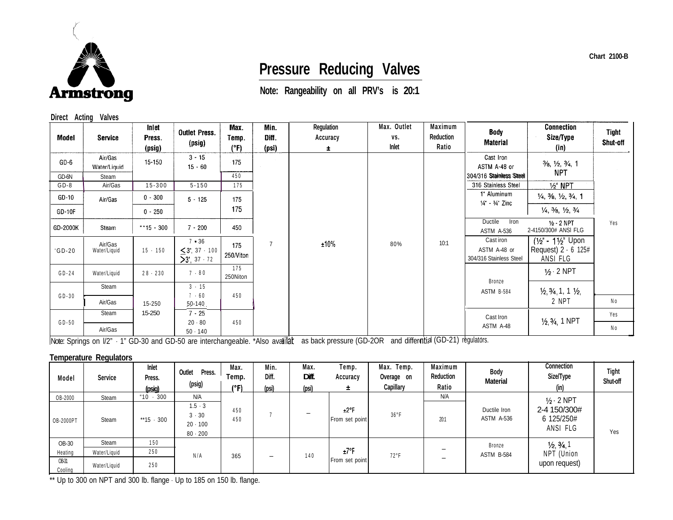

## **Pressure Reducing Valves**

## **Direct Acting Valves**

|                 |                                        |                           |                                                                 |                                |                        | Pressure Reducing Valves                |                             |                               |                                                       |                                                                                                                                    | <b>Chart 2100-B</b>      |
|-----------------|----------------------------------------|---------------------------|-----------------------------------------------------------------|--------------------------------|------------------------|-----------------------------------------|-----------------------------|-------------------------------|-------------------------------------------------------|------------------------------------------------------------------------------------------------------------------------------------|--------------------------|
|                 | <b>Armstrong</b>                       |                           |                                                                 |                                |                        | Note: Rangeability on all PRV's is 20:1 |                             |                               |                                                       |                                                                                                                                    |                          |
| Model           | Direct Acting Valves<br><b>Service</b> | Inlet<br>Press.<br>(psig) | <b>Outlet Press.</b><br>(psig)                                  | Max.<br>Temp.<br>$(^{\circ}F)$ | Min.<br>Diff.<br>(psi) | Regulation<br>Accuracy<br>±.            | Max. Outlet<br>VS.<br>Inlet | Maximum<br>Reduction<br>Ratio | <b>Body</b><br><b>Material</b>                        | Connection<br>Size/Type<br>(in)                                                                                                    | <b>Tight</b><br>Shut-off |
| $GD-6$<br>GD-6N | Air/Gas<br>Water/Liquid<br>Steam       | 15-150                    | $3 - 15$<br>$15 - 60$                                           | 175<br>450                     |                        |                                         | 80%                         | 10:1                          | Cast Iron<br>ASTM A-48 or<br>304/316 Stainless Steel  | $\frac{3}{8}$ , $\frac{1}{2}$ , $\frac{3}{4}$ , 1<br><b>NPT</b>                                                                    |                          |
| $GD-8$          | Air/Gas                                | $15 - 300$                | $5 - 150$                                                       | 175                            |                        |                                         |                             |                               | 316 Stainless Steel                                   | 1/ <sub>2</sub> " NPT                                                                                                              |                          |
| GD-10<br>GD-10F | Air/Gas                                | $0 - 300$<br>$0 - 250$    | $5 - 125$                                                       | 175<br>175                     |                        |                                         |                             |                               | 1° Aluminum<br>$1/4$ - $3/4$ Zinc                     | $\frac{1}{4}$ , $\frac{3}{8}$ , $\frac{1}{2}$ , $\frac{3}{4}$ , 1<br>$\frac{1}{4}$ , $\frac{3}{8}$ , $\frac{1}{2}$ , $\frac{3}{4}$ |                          |
| GD-2000K        | Steam                                  | $*+15 - 300$              | $7 - 200$                                                       | 450                            | $\overline{7}$         |                                         |                             |                               | Ductile<br>Iron<br>2-4150/300# ANSI FLG<br>ASTM A-536 | Yes                                                                                                                                |                          |
| 'GD-20          | Air/Gas<br>Water/Liquid                | $15 - 150$                | $7 - 36$<br>$\leq$ 3", 37 $\cdot$ 100<br>$>3^{\circ}$ , 37 · 72 | 175<br>250/Viton               |                        | ±10%                                    |                             |                               | Cast iron<br>ASTM A-48 or<br>304/316 Stainless Steel  | $(1/2" - 11/2"$ Upon<br>Request) 2 - 6 125#<br>ANSI FLG                                                                            |                          |
| $GD-24$         | Water/Liquid                           | $28 - 230$                | 7.80                                                            | 175<br>250Niton                |                        |                                         |                             |                               | Bronze<br>ASTM B-584                                  | $1/2 \cdot 2$ NPT                                                                                                                  |                          |
| $GD-30$         | Steam<br>Air/Gas                       | 15-250                    | $3 - 15$<br>$7 + 60$<br>50-140                                  | 450                            |                        |                                         |                             |                               |                                                       | $1/2$ , $3/4$ , 1, 1 $1/2$ ,<br>2 NPT                                                                                              | N o                      |
| $GD - 50$       | Steam<br>Air/Gas                       | 15-250                    | $7 - 25$<br>$20 \cdot 80$<br>$50 - 140$                         | 450                            |                        |                                         |                             |                               | Cast Iron<br>ASTM A-48                                | 1/2, 3/4, 1 NPT                                                                                                                    | Yes<br>N o               |

Note: Springs on I/2" 1" GD-30 and GD-50 are interchangeable. \*Also availlat as back pressure (GD-2OR and differential (GD-21) regulators.

## **Temperature Regulators**

| Model                  | Service      | Inlet<br>Press.<br>(psia) | Outlet<br>Press.<br>(psig)                            | Max.<br>Temp.<br>$(^{\circ}F)$ | Min.<br>Diff.<br>(psi)   | Max.<br>Diff.<br>(psi) | Temp.<br>Accuracy<br>土           | Max. Temp.<br>Overage on<br>Capillary | Maximum<br>Reduction<br>Ratio                        | Body<br><b>Material</b>    | Connection<br>Size/Type<br>(in)                             | Tight<br>Shut-off |
|------------------------|--------------|---------------------------|-------------------------------------------------------|--------------------------------|--------------------------|------------------------|----------------------------------|---------------------------------------|------------------------------------------------------|----------------------------|-------------------------------------------------------------|-------------------|
| OB-2000                | <b>Steam</b> | 10.300                    | N/A                                                   | 450<br>450                     |                          |                        | $±2^{\circ}F$<br>From set point  | 36°F                                  | N/A                                                  | Ductile Iron<br>ASTM A-536 | $1/2 \cdot 2$ NPT<br>2-4 150/300#<br>6 125/250#<br>ANSI FLG | Yes               |
| OB-2000PT              | <b>Steam</b> | **15 $-300$               | $1.5 - 3$<br>$3 - 30$<br>$20 \cdot 100$<br>$80 - 200$ |                                |                          |                        |                                  |                                       | 20:1                                                 |                            |                                                             |                   |
| OB-30                  | Steam        | 150                       | N/A                                                   |                                | $\overline{\phantom{m}}$ | 140                    | $±7^{\circ}$ F<br>From set point | 72°F                                  | $\overline{\phantom{m}}$<br>$\overline{\phantom{m}}$ | Bronze                     | 1/2, 3/4, 1<br>NPT (Union<br>upon request)                  |                   |
| Heating                | Water/Liquid | 250                       |                                                       | 365                            |                          |                        |                                  |                                       |                                                      | ASTM B-584                 |                                                             |                   |
| <b>OB31</b><br>Cooling | Water/Liquid | 250                       |                                                       |                                |                          |                        |                                  |                                       |                                                      |                            |                                                             |                   |

\*\* Up to 300 on NPT and 300 lb. flange - Up to 185 on 150 lb. flange.